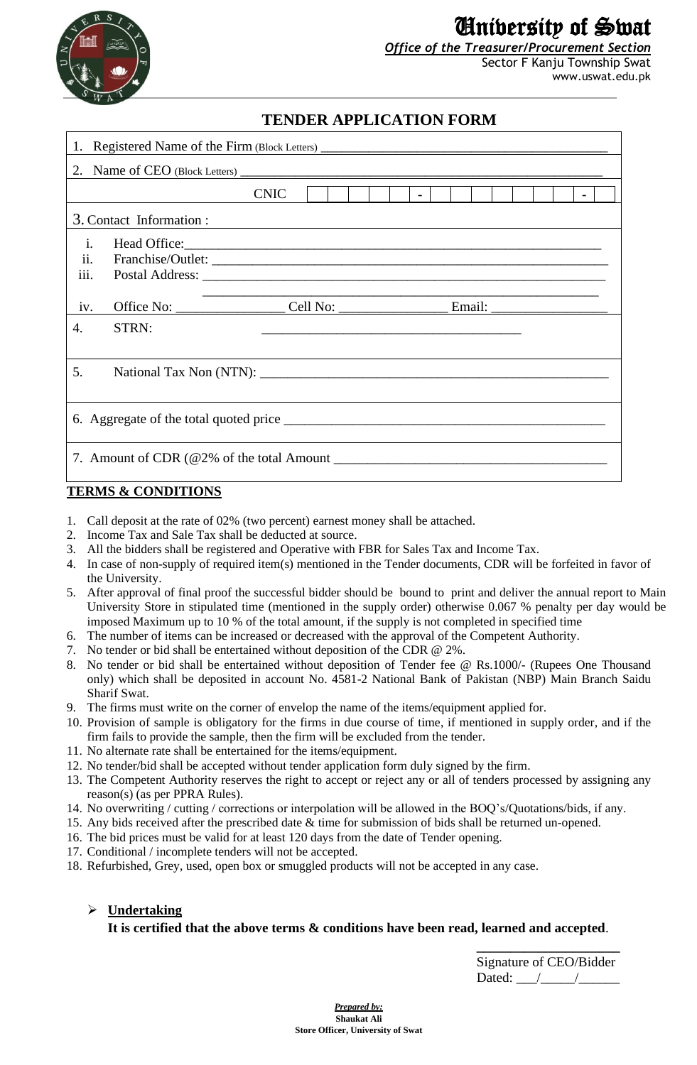

## University of Swat

*Office of the Treasurer/Procurement Section* Sector F Kanju Township Swat www.uswat.edu.pk

### **TENDER APPLICATION FORM**

| 1.                                                        |             |  |  |  |  |  |  |  |  |  |  |  |  |
|-----------------------------------------------------------|-------------|--|--|--|--|--|--|--|--|--|--|--|--|
|                                                           |             |  |  |  |  |  |  |  |  |  |  |  |  |
|                                                           | <b>CNIC</b> |  |  |  |  |  |  |  |  |  |  |  |  |
| 3. Contact Information :                                  |             |  |  |  |  |  |  |  |  |  |  |  |  |
| $\mathbf{i}$ .<br>ii.<br>iii.                             |             |  |  |  |  |  |  |  |  |  |  |  |  |
| iv.                                                       |             |  |  |  |  |  |  |  |  |  |  |  |  |
| STRN:<br>4.                                               |             |  |  |  |  |  |  |  |  |  |  |  |  |
| 5.                                                        |             |  |  |  |  |  |  |  |  |  |  |  |  |
|                                                           |             |  |  |  |  |  |  |  |  |  |  |  |  |
| 7. Amount of CDR $(\textcircled{2}\%$ of the total Amount |             |  |  |  |  |  |  |  |  |  |  |  |  |

#### **TERMS & CONDITIONS**

- 1. Call deposit at the rate of 02% (two percent) earnest money shall be attached.
- 2. Income Tax and Sale Tax shall be deducted at source.
- 3. All the bidders shall be registered and Operative with FBR for Sales Tax and Income Tax.
- 4. In case of non-supply of required item(s) mentioned in the Tender documents, CDR will be forfeited in favor of the University.
- 5. After approval of final proof the successful bidder should be bound to print and deliver the annual report to Main University Store in stipulated time (mentioned in the supply order) otherwise 0.067 % penalty per day would be imposed Maximum up to 10 % of the total amount, if the supply is not completed in specified time
- 6. The number of items can be increased or decreased with the approval of the Competent Authority.
- 7. No tender or bid shall be entertained without deposition of the CDR @ 2%.
- 8. No tender or bid shall be entertained without deposition of Tender fee @ Rs.1000/- (Rupees One Thousand only) which shall be deposited in account No. 4581-2 National Bank of Pakistan (NBP) Main Branch Saidu Sharif Swat.
- 9. The firms must write on the corner of envelop the name of the items/equipment applied for.
- 10. Provision of sample is obligatory for the firms in due course of time, if mentioned in supply order, and if the firm fails to provide the sample, then the firm will be excluded from the tender.
- 11. No alternate rate shall be entertained for the items/equipment.
- 12. No tender/bid shall be accepted without tender application form duly signed by the firm.
- 13. The Competent Authority reserves the right to accept or reject any or all of tenders processed by assigning any reason(s) (as per PPRA Rules).
- 14. No overwriting / cutting / corrections or interpolation will be allowed in the BOQ's/Quotations/bids, if any.
- 15. Any bids received after the prescribed date & time for submission of bids shall be returned un-opened.
- 16. The bid prices must be valid for at least 120 days from the date of Tender opening.
- 17. Conditional / incomplete tenders will not be accepted.
- 18. Refurbished, Grey, used, open box or smuggled products will not be accepted in any case.

#### ➢ **Undertaking**

**It is certified that the above terms & conditions have been read, learned and accepted**.

|        | Signature of CEO/Bidder |
|--------|-------------------------|
| Dated: |                         |

**\_\_\_\_\_\_\_\_\_\_\_\_\_\_\_\_\_\_\_\_\_**